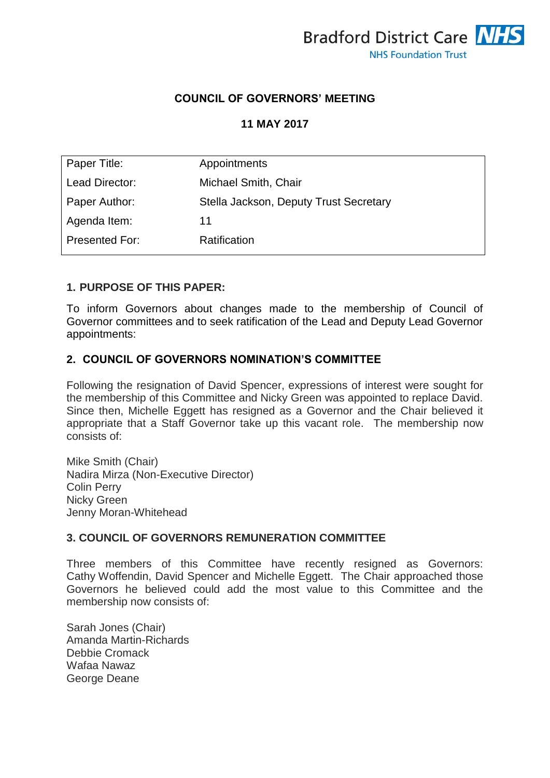

## **COUNCIL OF GOVERNORS' MEETING**

## **11 MAY 2017**

| Paper Title:   | Appointments                           |
|----------------|----------------------------------------|
| Lead Director: | Michael Smith, Chair                   |
| Paper Author:  | Stella Jackson, Deputy Trust Secretary |
| Agenda Item:   | 11                                     |
| Presented For: | Ratification                           |

#### **1. PURPOSE OF THIS PAPER:**

To inform Governors about changes made to the membership of Council of Governor committees and to seek ratification of the Lead and Deputy Lead Governor appointments:

### **2. COUNCIL OF GOVERNORS NOMINATION'S COMMITTEE**

Following the resignation of David Spencer, expressions of interest were sought for the membership of this Committee and Nicky Green was appointed to replace David. Since then, Michelle Eggett has resigned as a Governor and the Chair believed it appropriate that a Staff Governor take up this vacant role. The membership now consists of:

Mike Smith (Chair) Nadira Mirza (Non-Executive Director) Colin Perry Nicky Green Jenny Moran-Whitehead

#### **3. COUNCIL OF GOVERNORS REMUNERATION COMMITTEE**

Three members of this Committee have recently resigned as Governors: Cathy Woffendin, David Spencer and Michelle Eggett. The Chair approached those Governors he believed could add the most value to this Committee and the membership now consists of:

Sarah Jones (Chair) Amanda Martin-Richards Debbie Cromack Wafaa Nawaz George Deane